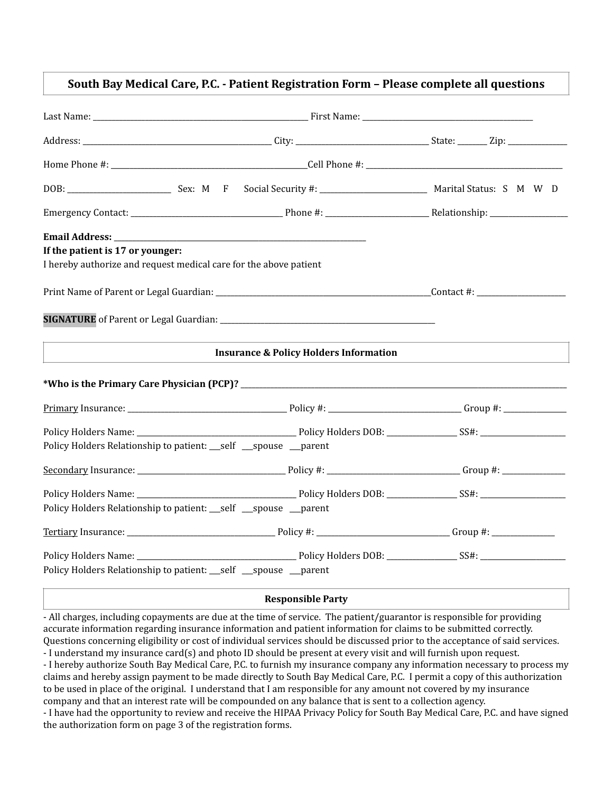## South Bay Medical Care, P.C. - Patient Registration Form - Please complete all questions

| If the patient is 17 or younger:                                  |                                                   |  |
|-------------------------------------------------------------------|---------------------------------------------------|--|
| I hereby authorize and request medical care for the above patient |                                                   |  |
|                                                                   |                                                   |  |
|                                                                   |                                                   |  |
|                                                                   | <b>Insurance &amp; Policy Holders Information</b> |  |
|                                                                   |                                                   |  |
|                                                                   |                                                   |  |
|                                                                   |                                                   |  |
| Policy Holders Relationship to patient: __self __spouse __parent  |                                                   |  |
|                                                                   |                                                   |  |
|                                                                   |                                                   |  |
| Policy Holders Relationship to patient: __self __spouse __parent  |                                                   |  |
|                                                                   |                                                   |  |
|                                                                   |                                                   |  |
| Policy Holders Relationship to patient: __self __spouse __parent  |                                                   |  |
|                                                                   |                                                   |  |

## **Responsible Party**

- All charges, including copayments are due at the time of service. The patient/guarantor is responsible for providing accurate information regarding insurance information and patient information for claims to be submitted correctly. Questions concerning eligibility or cost of individual services should be discussed prior to the acceptance of said services. - I understand my insurance card(s) and photo ID should be present at every visit and will furnish upon request. - I hereby authorize South Bay Medical Care, P.C. to furnish my insurance company any information necessary to process my claims and hereby assign payment to be made directly to South Bay Medical Care, P.C. I permit a copy of this authorization to be used in place of the original. I understand that I am responsible for any amount not covered by my insurance company and that an interest rate will be compounded on any balance that is sent to a collection agency. - I have had the opportunity to review and receive the HIPAA Privacy Policy for South Bay Medical Care, P.C. and have signed

the authorization form on page 3 of the registration forms.